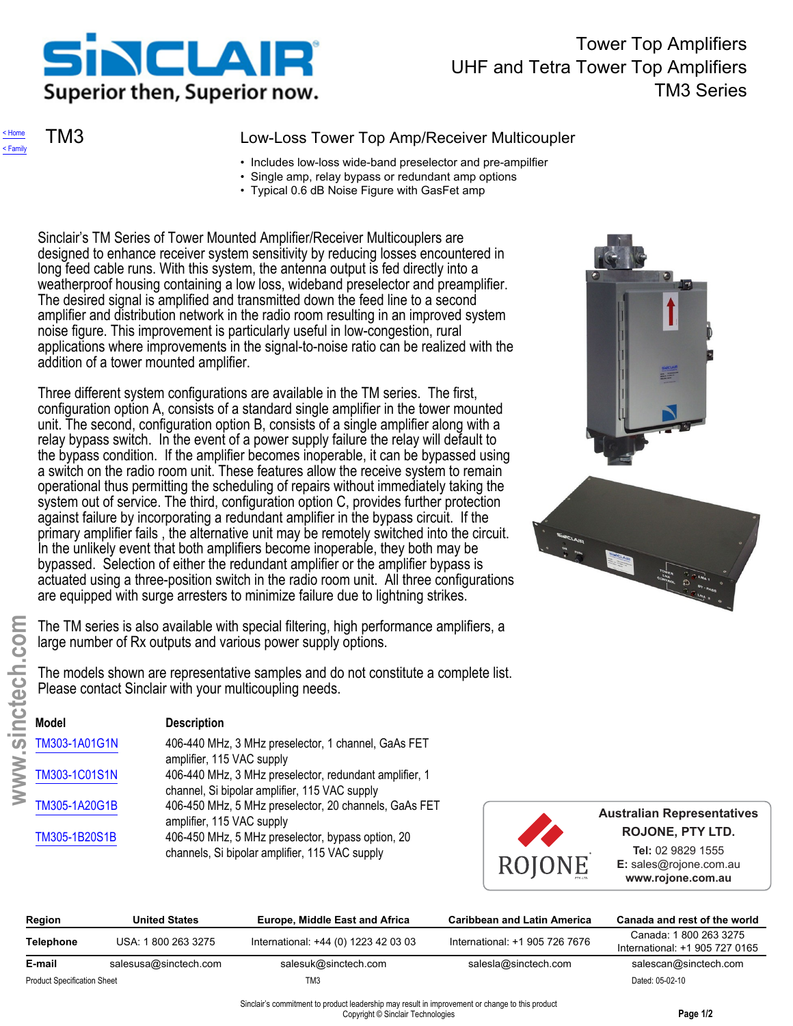<span id="page-0-0"></span>

## Tower Top Amplifiers UHF and Tetra Tower Top Amplifiers TM3 Series

[< Home](../../../index.htm) [< Family](../../index.htm)

### TM3 Low-Loss Tower Top Amp/Receiver Multicoupler

- Includes low-loss wide-band preselector and pre-ampilfier
- Single amp, relay bypass or redundant amp options
- Typical 0.6 dB Noise Figure with GasFet amp

Sinclair's TM Series of Tower Mounted Amplifier/Receiver Multicouplers are designed to enhance receiver system sensitivity by reducing losses encountered in long feed cable runs. With this system, the antenna output is fed directly into a weatherproof housing containing a low loss, wideband preselector and preamplifier. The desired signal is amplified and transmitted down the feed line to a second amplifier and distribution network in the radio room resulting in an improved system noise figure. This improvement is particularly useful in low-congestion, rural applications where improvements in the signal-to-noise ratio can be realized with the addition of a tower mounted amplifier.

Three different system configurations are available in the TM series. The first, configuration option A, consists of a standard single amplifier in the tower mounted unit. The second, configuration option B, consists of a single amplifier along with a relay bypass switch. In the event of a power supply failure the relay will default to the bypass condition. If the amplifier becomes inoperable, it can be bypassed using a switch on the radio room unit. These features allow the receive system to remain operational thus permitting the scheduling of repairs without immediately taking the system out of service. The third, configuration option C, provides further protection against failure by incorporating a redundant amplifier in the bypass circuit. If the primary amplifier fails , the alternative unit may be remotely switched into the circuit. In the unlikely event that both amplifiers become inoperable, they both may be bypassed. Selection of either the redundant amplifier or the amplifier bypass is actuated using a three-position switch in the radio room unit. All three configurations are equipped with surge arresters to minimize failure due to lightning strikes.

| <b>OS</b> |                                    | The TM series is also available with special filtering, high performance amplifiers, a<br>large number of Rx outputs and various power supply options. |                                                                                                                                      |                                    |        |                                                         |  |
|-----------|------------------------------------|--------------------------------------------------------------------------------------------------------------------------------------------------------|--------------------------------------------------------------------------------------------------------------------------------------|------------------------------------|--------|---------------------------------------------------------|--|
| nctech    |                                    | Please contact Sinclair with your multicoupling needs.                                                                                                 | The models shown are representative samples and do not constitute a complete list.                                                   |                                    |        |                                                         |  |
|           | <b>Model</b>                       | <b>Description</b>                                                                                                                                     |                                                                                                                                      |                                    |        |                                                         |  |
| S         | TM303-1A01G1N                      | amplifier, 115 VAC supply                                                                                                                              | 406-440 MHz, 3 MHz preselector, 1 channel, GaAs FET                                                                                  |                                    |        |                                                         |  |
| WWW.      | TM303-1C01S1N                      |                                                                                                                                                        | 406-440 MHz, 3 MHz preselector, redundant amplifier, 1<br>channel, Si bipolar amplifier, 115 VAC supply                              |                                    |        |                                                         |  |
|           | TM305-1A20G1B                      | amplifier, 115 VAC supply                                                                                                                              | 406-450 MHz, 5 MHz preselector, 20 channels, GaAs FET                                                                                |                                    |        | <b>Australian Represe</b><br><b>ROJONE, PTY I</b>       |  |
|           | TM305-1B20S1B                      |                                                                                                                                                        | 406-450 MHz, 5 MHz preselector, bypass option, 20<br>channels, Si bipolar amplifier, 115 VAC supply                                  |                                    | ROJONE | Tel: 02 9829 15<br>E: sales@rojone.co<br>www.rojone.com |  |
|           | Region                             | <b>United States</b>                                                                                                                                   | <b>Europe, Middle East and Africa</b>                                                                                                | <b>Caribbean and Latin America</b> |        | Canada and rest of                                      |  |
|           | <b>Telephone</b>                   | USA: 1800 263 3275                                                                                                                                     | International: +44 (0) 1223 42 03 03                                                                                                 | International: +1 905 726 7676     |        | Canada: 1800 26<br>International: +1 905                |  |
|           | E-mail                             | salesusa@sinctech.com<br>salesuk@sinctech.com                                                                                                          |                                                                                                                                      | salesla@sinctech.com               |        | salescan@sincte                                         |  |
|           | <b>Product Specification Sheet</b> |                                                                                                                                                        | TM <sub>3</sub>                                                                                                                      |                                    |        | Dated: 05-02-10                                         |  |
|           |                                    |                                                                                                                                                        | Sinclair's commitment to product leadership may result in improvement or change to this product<br>Copyright © Sinclair Technologies |                                    |        | Page 1/2                                                |  |



**Australian Representatives ROJONE, PTY LTD.**

> **Tel:** 02 9829 1555 **E:** sales@rojone.com.au **www.rojone.com.au**

| Region                             | <b>United States</b>  | Europe, Middle East and Africa       | <b>Caribbean and Latin America</b> | Canada and rest of the world                             |
|------------------------------------|-----------------------|--------------------------------------|------------------------------------|----------------------------------------------------------|
| Telephone                          | USA: 1800 263 3275    | International: +44 (0) 1223 42 03 03 | International: +1 905 726 7676     | Canada: 1 800 263 3275<br>International: +1 905 727 0165 |
| E-mail                             | salesusa@sinctech.com | salesuk@sinctech.com                 | salesla@sinctech.com               | salescan@sinctech.com                                    |
| <b>Product Specification Sheet</b> |                       | TM3                                  |                                    | Dated: 05-02-10                                          |